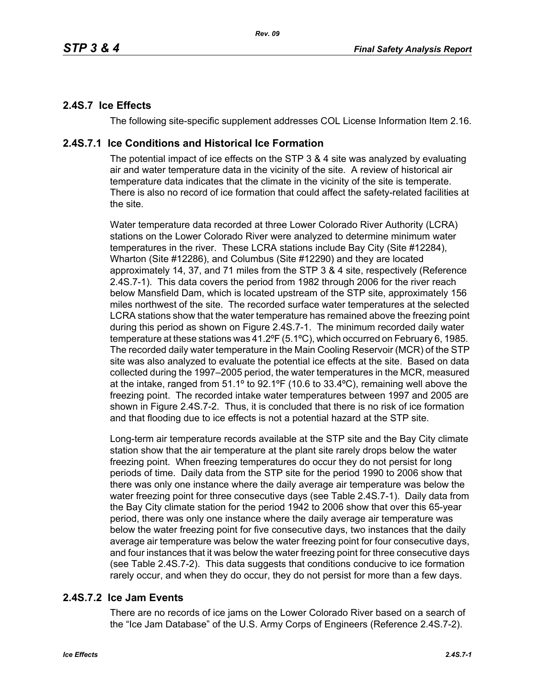# **2.4S.7 Ice Effects**

The following site-specific supplement addresses COL License Information Item 2.16.

## **2.4S.7.1 Ice Conditions and Historical Ice Formation**

The potential impact of ice effects on the STP 3 & 4 site was analyzed by evaluating air and water temperature data in the vicinity of the site. A review of historical air temperature data indicates that the climate in the vicinity of the site is temperate. There is also no record of ice formation that could affect the safety-related facilities at the site.

Water temperature data recorded at three Lower Colorado River Authority (LCRA) stations on the Lower Colorado River were analyzed to determine minimum water temperatures in the river. These LCRA stations include Bay City (Site #12284), Wharton (Site #12286), and Columbus (Site #12290) and they are located approximately 14, 37, and 71 miles from the STP 3 & 4 site, respectively (Reference 2.4S.7-1). This data covers the period from 1982 through 2006 for the river reach below Mansfield Dam, which is located upstream of the STP site, approximately 156 miles northwest of the site. The recorded surface water temperatures at the selected LCRA stations show that the water temperature has remained above the freezing point during this period as shown on Figure 2.4S.7-1. The minimum recorded daily water temperature at these stations was 41.2ºF (5.1ºC), which occurred on February 6, 1985. The recorded daily water temperature in the Main Cooling Reservoir (MCR) of the STP site was also analyzed to evaluate the potential ice effects at the site. Based on data collected during the 1997–2005 period, the water temperatures in the MCR, measured at the intake, ranged from 51.1º to 92.1ºF (10.6 to 33.4ºC), remaining well above the freezing point. The recorded intake water temperatures between 1997 and 2005 are shown in Figure 2.4S.7-2. Thus, it is concluded that there is no risk of ice formation and that flooding due to ice effects is not a potential hazard at the STP site.

Long-term air temperature records available at the STP site and the Bay City climate station show that the air temperature at the plant site rarely drops below the water freezing point. When freezing temperatures do occur they do not persist for long periods of time. Daily data from the STP site for the period 1990 to 2006 show that there was only one instance where the daily average air temperature was below the water freezing point for three consecutive days (see Table 2.4S.7-1). Daily data from the Bay City climate station for the period 1942 to 2006 show that over this 65-year period, there was only one instance where the daily average air temperature was below the water freezing point for five consecutive days, two instances that the daily average air temperature was below the water freezing point for four consecutive days, and four instances that it was below the water freezing point for three consecutive days (see Table 2.4S.7-2). This data suggests that conditions conducive to ice formation rarely occur, and when they do occur, they do not persist for more than a few days.

# **2.4S.7.2 Ice Jam Events**

There are no records of ice jams on the Lower Colorado River based on a search of the "Ice Jam Database" of the U.S. Army Corps of Engineers (Reference 2.4S.7-2).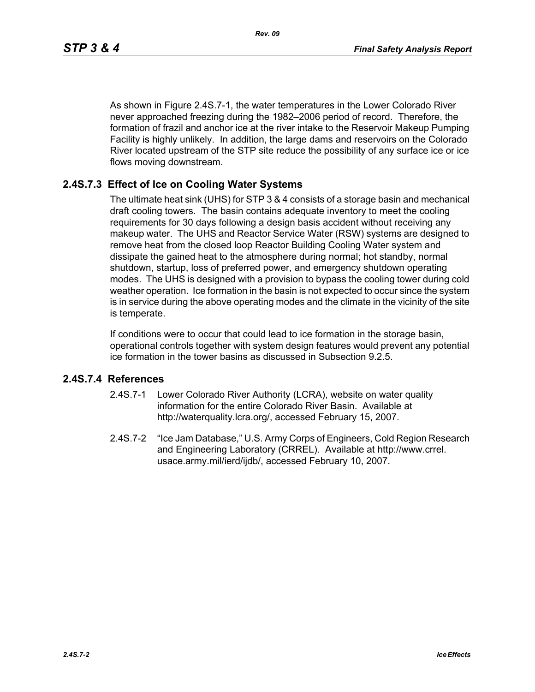As shown in Figure 2.4S.7-1, the water temperatures in the Lower Colorado River never approached freezing during the 1982–2006 period of record. Therefore, the formation of frazil and anchor ice at the river intake to the Reservoir Makeup Pumping Facility is highly unlikely. In addition, the large dams and reservoirs on the Colorado River located upstream of the STP site reduce the possibility of any surface ice or ice flows moving downstream.

## **2.4S.7.3 Effect of Ice on Cooling Water Systems**

The ultimate heat sink (UHS) for STP 3 & 4 consists of a storage basin and mechanical draft cooling towers. The basin contains adequate inventory to meet the cooling requirements for 30 days following a design basis accident without receiving any makeup water. The UHS and Reactor Service Water (RSW) systems are designed to remove heat from the closed loop Reactor Building Cooling Water system and dissipate the gained heat to the atmosphere during normal; hot standby, normal shutdown, startup, loss of preferred power, and emergency shutdown operating modes. The UHS is designed with a provision to bypass the cooling tower during cold weather operation. Ice formation in the basin is not expected to occur since the system is in service during the above operating modes and the climate in the vicinity of the site is temperate.

If conditions were to occur that could lead to ice formation in the storage basin, operational controls together with system design features would prevent any potential ice formation in the tower basins as discussed in Subsection 9.2.5.

#### **2.4S.7.4 References**

- 2.4S.7-1 Lower Colorado River Authority (LCRA), website on water quality information for the entire Colorado River Basin. Available at http://waterquality.lcra.org/, accessed February 15, 2007.
- 2.4S.7-2 "Ice Jam Database," U.S. Army Corps of Engineers, Cold Region Research and Engineering Laboratory (CRREL). Available at http://www.crrel. usace.army.mil/ierd/ijdb/, accessed February 10, 2007.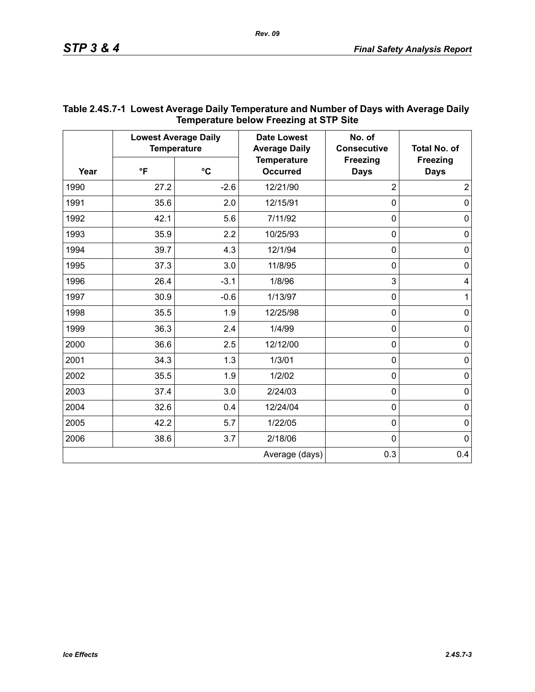| Year | <b>Lowest Average Daily</b><br><b>Temperature</b> |           | <b>Date Lowest</b><br><b>Average Daily</b> | No. of<br><b>Consecutive</b>   | <b>Total No. of</b>            |
|------|---------------------------------------------------|-----------|--------------------------------------------|--------------------------------|--------------------------------|
|      | $\mathsf{P}$                                      | $\circ$ C | <b>Temperature</b><br><b>Occurred</b>      | <b>Freezing</b><br><b>Days</b> | <b>Freezing</b><br><b>Days</b> |
| 1990 | 27.2                                              | $-2.6$    | 12/21/90                                   | $\overline{2}$                 | $\overline{2}$                 |
| 1991 | 35.6                                              | 2.0       | 12/15/91                                   | $\mathbf 0$                    | 0                              |
| 1992 | 42.1                                              | 5.6       | 7/11/92                                    | $\mathbf 0$                    | $\pmb{0}$                      |
| 1993 | 35.9                                              | 2.2       | 10/25/93                                   | $\mathbf 0$                    | $\mathbf 0$                    |
| 1994 | 39.7                                              | 4.3       | 12/1/94                                    | $\mathbf 0$                    | $\pmb{0}$                      |
| 1995 | 37.3                                              | 3.0       | 11/8/95                                    | $\mathbf 0$                    | $\pmb{0}$                      |
| 1996 | 26.4                                              | $-3.1$    | 1/8/96                                     | 3                              | 4                              |
| 1997 | 30.9                                              | $-0.6$    | 1/13/97                                    | $\mathbf 0$                    | $\mathbf{1}$                   |
| 1998 | 35.5                                              | 1.9       | 12/25/98                                   | $\mathbf 0$                    | 0                              |
| 1999 | 36.3                                              | 2.4       | 1/4/99                                     | $\mathbf 0$                    | $\pmb{0}$                      |
| 2000 | 36.6                                              | 2.5       | 12/12/00                                   | $\mathbf 0$                    | $\mathbf 0$                    |
| 2001 | 34.3                                              | 1.3       | 1/3/01                                     | $\mathbf 0$                    | $\pmb{0}$                      |
| 2002 | 35.5                                              | 1.9       | 1/2/02                                     | $\mathbf 0$                    | $\pmb{0}$                      |
| 2003 | 37.4                                              | 3.0       | 2/24/03                                    | $\mathbf 0$                    | 0                              |
| 2004 | 32.6                                              | 0.4       | 12/24/04                                   | $\mathbf 0$                    | $\pmb{0}$                      |
| 2005 | 42.2                                              | 5.7       | 1/22/05                                    | $\mathbf 0$                    | $\mathbf 0$                    |
| 2006 | 38.6                                              | 3.7       | 2/18/06                                    | $\mathbf 0$                    | 0                              |
|      |                                                   |           | Average (days)                             | 0.3                            | 0.4                            |

## **Table 2.4S.7-1 Lowest Average Daily Temperature and Number of Days with Average Daily Temperature below Freezing at STP Site**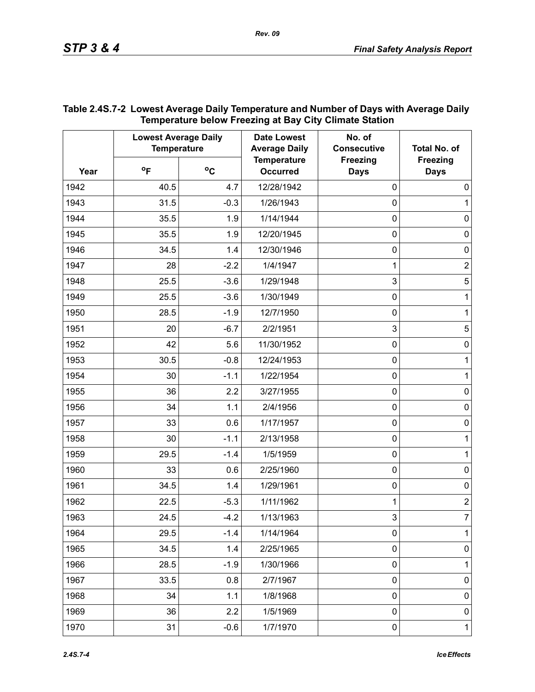| Year | <b>Lowest Average Daily</b><br><b>Temperature</b> |              | <b>Date Lowest</b><br><b>Average Daily</b> | No. of<br><b>Consecutive</b>   | <b>Total No. of</b>            |
|------|---------------------------------------------------|--------------|--------------------------------------------|--------------------------------|--------------------------------|
|      | $^{\circ}$ F                                      | $^{\circ}$ C | <b>Temperature</b><br><b>Occurred</b>      | <b>Freezing</b><br><b>Days</b> | <b>Freezing</b><br><b>Days</b> |
| 1942 | 40.5                                              | 4.7          | 12/28/1942                                 | $\mathbf 0$                    | $\mathbf 0$                    |
| 1943 | 31.5                                              | $-0.3$       | 1/26/1943                                  | 0                              | 1                              |
| 1944 | 35.5                                              | 1.9          | 1/14/1944                                  | 0                              | $\mathbf 0$                    |
| 1945 | 35.5                                              | 1.9          | 12/20/1945                                 | 0                              | $\mathbf 0$                    |
| 1946 | 34.5                                              | 1.4          | 12/30/1946                                 | 0                              | $\mathbf 0$                    |
| 1947 | 28                                                | $-2.2$       | 1/4/1947                                   | 1                              | $\overline{c}$                 |
| 1948 | 25.5                                              | $-3.6$       | 1/29/1948                                  | 3                              | $\sqrt{5}$                     |
| 1949 | 25.5                                              | $-3.6$       | 1/30/1949                                  | 0                              | 1                              |
| 1950 | 28.5                                              | $-1.9$       | 12/7/1950                                  | 0                              | 1                              |
| 1951 | 20                                                | $-6.7$       | 2/2/1951                                   | 3                              | 5                              |
| 1952 | 42                                                | 5.6          | 11/30/1952                                 | 0                              | $\mathbf 0$                    |
| 1953 | 30.5                                              | $-0.8$       | 12/24/1953                                 | 0                              | 1                              |
| 1954 | 30                                                | $-1.1$       | 1/22/1954                                  | 0                              | 1                              |
| 1955 | 36                                                | 2.2          | 3/27/1955                                  | 0                              | $\mathbf 0$                    |
| 1956 | 34                                                | 1.1          | 2/4/1956                                   | 0                              | $\mathbf 0$                    |
| 1957 | 33                                                | 0.6          | 1/17/1957                                  | 0                              | $\mathbf 0$                    |
| 1958 | 30                                                | $-1.1$       | 2/13/1958                                  | 0                              | 1                              |
| 1959 | 29.5                                              | $-1.4$       | 1/5/1959                                   | 0                              | 1                              |
| 1960 | 33                                                | 0.6          | 2/25/1960                                  | 0                              | $\mathbf 0$                    |
| 1961 | 34.5                                              | 1.4          | 1/29/1961                                  | 0                              | $\mathbf 0$                    |
| 1962 | 22.5                                              | $-5.3$       | 1/11/1962                                  | 1                              | $\overline{\mathbf{c}}$        |
| 1963 | 24.5                                              | $-4.2$       | 1/13/1963                                  | 3                              | 7                              |
| 1964 | 29.5                                              | $-1.4$       | 1/14/1964                                  | $\pmb{0}$                      | 1                              |
| 1965 | 34.5                                              | 1.4          | 2/25/1965                                  | $\pmb{0}$                      | $\pmb{0}$                      |
| 1966 | 28.5                                              | $-1.9$       | 1/30/1966                                  | $\mathbf 0$                    | 1                              |
| 1967 | 33.5                                              | 0.8          | 2/7/1967                                   | $\pmb{0}$                      | 0                              |
| 1968 | 34                                                | 1.1          | 1/8/1968                                   | $\mathbf 0$                    | 0                              |
| 1969 | 36                                                | 2.2          | 1/5/1969                                   | $\pmb{0}$                      | $\pmb{0}$                      |
| 1970 | 31                                                | $-0.6$       | 1/7/1970                                   | $\pmb{0}$                      | $\mathbf{1}$                   |

## **Table 2.4S.7-2 Lowest Average Daily Temperature and Number of Days with Average Daily Temperature below Freezing at Bay City Climate Station**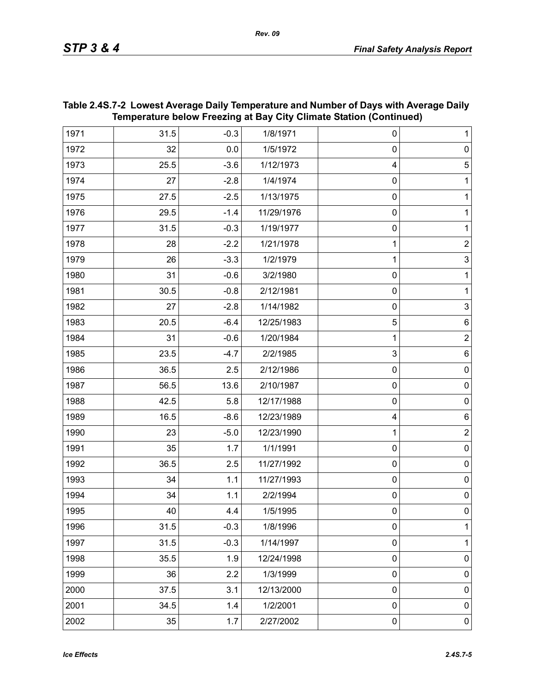|      | Temperature below Freezing at Bay City Climate Station (Continued) |        |            |                |                |  |
|------|--------------------------------------------------------------------|--------|------------|----------------|----------------|--|
| 1971 | 31.5                                                               | $-0.3$ | 1/8/1971   | 0              | $\mathbf{1}$   |  |
| 1972 | 32                                                                 | 0.0    | 1/5/1972   | $\pmb{0}$      | $\pmb{0}$      |  |
| 1973 | 25.5                                                               | $-3.6$ | 1/12/1973  | 4              | $\mathbf 5$    |  |
| 1974 | 27                                                                 | $-2.8$ | 1/4/1974   | $\pmb{0}$      | 1              |  |
| 1975 | 27.5                                                               | $-2.5$ | 1/13/1975  | $\pmb{0}$      | 1              |  |
| 1976 | 29.5                                                               | $-1.4$ | 11/29/1976 | $\pmb{0}$      | 1              |  |
| 1977 | 31.5                                                               | $-0.3$ | 1/19/1977  | $\pmb{0}$      | $\mathbf{1}$   |  |
| 1978 | 28                                                                 | $-2.2$ | 1/21/1978  | 1              | $\mathbf 2$    |  |
| 1979 | 26                                                                 | $-3.3$ | 1/2/1979   | 1              | $\overline{3}$ |  |
| 1980 | 31                                                                 | $-0.6$ | 3/2/1980   | $\pmb{0}$      | 1              |  |
| 1981 | 30.5                                                               | $-0.8$ | 2/12/1981  | $\pmb{0}$      | $\mathbf{1}$   |  |
| 1982 | 27                                                                 | $-2.8$ | 1/14/1982  | $\pmb{0}$      | $\mathbf{3}$   |  |
| 1983 | 20.5                                                               | $-6.4$ | 12/25/1983 | $\overline{5}$ | $\,6$          |  |
| 1984 | 31                                                                 | $-0.6$ | 1/20/1984  | 1              | $\overline{2}$ |  |
| 1985 | 23.5                                                               | $-4.7$ | 2/2/1985   | $\mathbf{3}$   | 6              |  |
| 1986 | 36.5                                                               | 2.5    | 2/12/1986  | $\pmb{0}$      | $\pmb{0}$      |  |
| 1987 | 56.5                                                               | 13.6   | 2/10/1987  | $\pmb{0}$      | $\pmb{0}$      |  |
| 1988 | 42.5                                                               | 5.8    | 12/17/1988 | $\pmb{0}$      | $\pmb{0}$      |  |
| 1989 | 16.5                                                               | $-8.6$ | 12/23/1989 | 4              | $\,6$          |  |
| 1990 | 23                                                                 | $-5.0$ | 12/23/1990 | 1              | $\overline{2}$ |  |
| 1991 | 35                                                                 | 1.7    | 1/1/1991   | $\pmb{0}$      | $\mathsf 0$    |  |
| 1992 | 36.5                                                               | 2.5    | 11/27/1992 | $\pmb{0}$      | $\pmb{0}$      |  |
| 1993 | 34                                                                 | 1.1    | 11/27/1993 | $\pmb{0}$      | $\mathsf 0$    |  |
| 1994 | 34                                                                 | 1.1    | 2/2/1994   | $\pmb{0}$      | $\mathsf 0$    |  |
| 1995 | 40                                                                 | 4.4    | 1/5/1995   | 0              | 0              |  |
| 1996 | 31.5                                                               | $-0.3$ | 1/8/1996   | $\mathbf 0$    | 1              |  |
| 1997 | 31.5                                                               | $-0.3$ | 1/14/1997  | $\pmb{0}$      | 1              |  |
| 1998 | 35.5                                                               | 1.9    | 12/24/1998 | $\pmb{0}$      | $\pmb{0}$      |  |
| 1999 | 36                                                                 | 2.2    | 1/3/1999   | $\mathbf 0$    | $\pmb{0}$      |  |
| 2000 | 37.5                                                               | 3.1    | 12/13/2000 | $\pmb{0}$      | $\pmb{0}$      |  |
| 2001 | 34.5                                                               | 1.4    | 1/2/2001   | $\pmb{0}$      | $\pmb{0}$      |  |
| 2002 | 35                                                                 | 1.7    | 2/27/2002  | $\pmb{0}$      | $\pmb{0}$      |  |

## **Table 2.4S.7-2 Lowest Average Daily Temperature and Number of Days with Average Daily Temperature below Freezing at Bay City Climate Station (Continued)**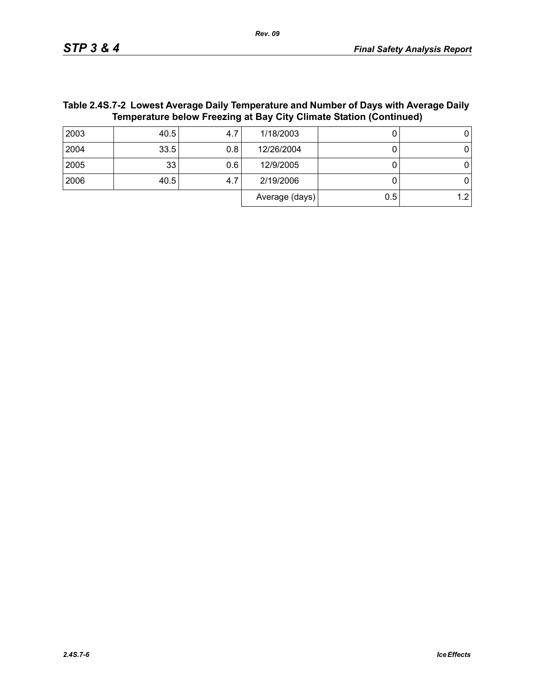Average  $(days)$  0.5 1.2

| Temperature below Freezing at Bay City Climate Station (Continued) |      |     |            |  |  |
|--------------------------------------------------------------------|------|-----|------------|--|--|
| 2003                                                               | 40.5 |     | 1/18/2003  |  |  |
| 2004                                                               | 33.5 | 0.8 | 12/26/2004 |  |  |
| 2005                                                               | 33   | 0.6 | 12/9/2005  |  |  |
| 2006                                                               | 40.5 | 4.7 | 2/19/2006  |  |  |

# **Table 2.4S.7-2 Lowest Average Daily Temperature and Number of Days with Average Daily**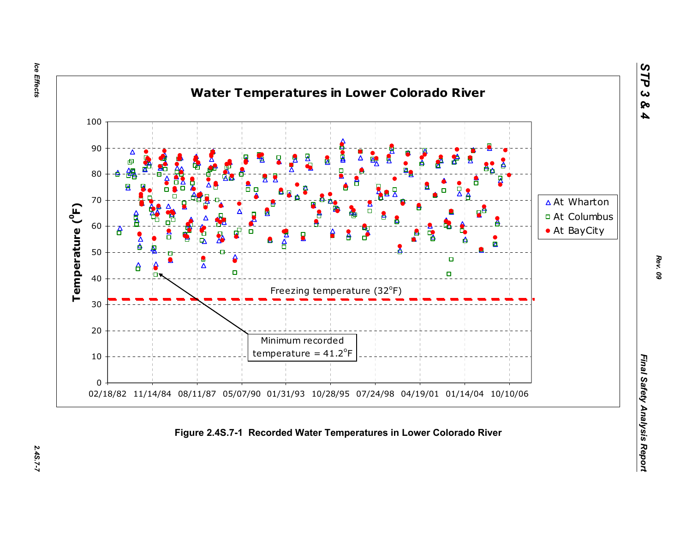Ice Effects *Ice Effects 2.4S.7-7*

2.45.7-7



*STP 3 & 4*